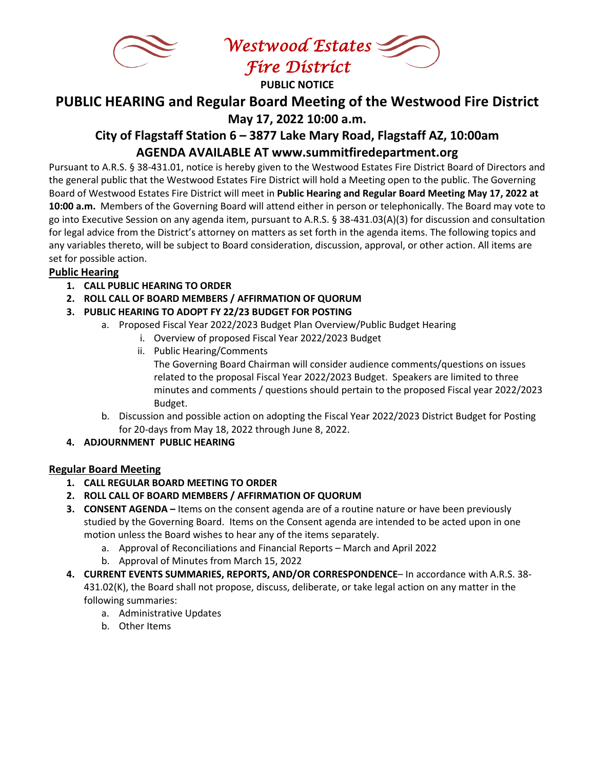

*Westwood Estates Fire District*

**PUBLIC NOTICE**

# **PUBLIC HEARING and Regular Board Meeting of the Westwood Fire District May 17, 2022 10:00 a.m.**

## **City of Flagstaff Station 6 – 3877 Lake Mary Road, Flagstaff AZ, 10:00am AGENDA AVAILABLE AT www.summitfiredepartment.org**

Pursuant to A.R.S. § 38-431.01, notice is hereby given to the Westwood Estates Fire District Board of Directors and the general public that the Westwood Estates Fire District will hold a Meeting open to the public. The Governing Board of Westwood Estates Fire District will meet in **Public Hearing and Regular Board Meeting May 17, 2022 at 10:00 a.m.** Members of the Governing Board will attend either in person or telephonically. The Board may vote to go into Executive Session on any agenda item, pursuant to A.R.S. § 38-431.03(A)(3) for discussion and consultation for legal advice from the District's attorney on matters as set forth in the agenda items. The following topics and any variables thereto, will be subject to Board consideration, discussion, approval, or other action. All items are set for possible action.

## **Public Hearing**

- **1. CALL PUBLIC HEARING TO ORDER**
- **2. ROLL CALL OF BOARD MEMBERS / AFFIRMATION OF QUORUM**
- **3. PUBLIC HEARING TO ADOPT FY 22/23 BUDGET FOR POSTING**
	- a. Proposed Fiscal Year 2022/2023 Budget Plan Overview/Public Budget Hearing
		- i. Overview of proposed Fiscal Year 2022/2023 Budget
		- ii. Public Hearing/Comments The Governing Board Chairman will consider audience comments/questions on issues related to the proposal Fiscal Year 2022/2023 Budget. Speakers are limited to three minutes and comments / questions should pertain to the proposed Fiscal year 2022/2023 Budget.
	- b. Discussion and possible action on adopting the Fiscal Year 2022/2023 District Budget for Posting for 20-days from May 18, 2022 through June 8, 2022.

## **4. ADJOURNMENT PUBLIC HEARING**

## **Regular Board Meeting**

- **1. CALL REGULAR BOARD MEETING TO ORDER**
- **2. ROLL CALL OF BOARD MEMBERS / AFFIRMATION OF QUORUM**
- **3. CONSENT AGENDA –** Items on the consent agenda are of a routine nature or have been previously studied by the Governing Board. Items on the Consent agenda are intended to be acted upon in one motion unless the Board wishes to hear any of the items separately.
	- a. Approval of Reconciliations and Financial Reports March and April 2022
	- b. Approval of Minutes from March 15, 2022
- **4. CURRENT EVENTS SUMMARIES, REPORTS, AND/OR CORRESPONDENCE** In accordance with A.R.S. 38- 431.02(K), the Board shall not propose, discuss, deliberate, or take legal action on any matter in the following summaries:
	- a. Administrative Updates
	- b. Other Items